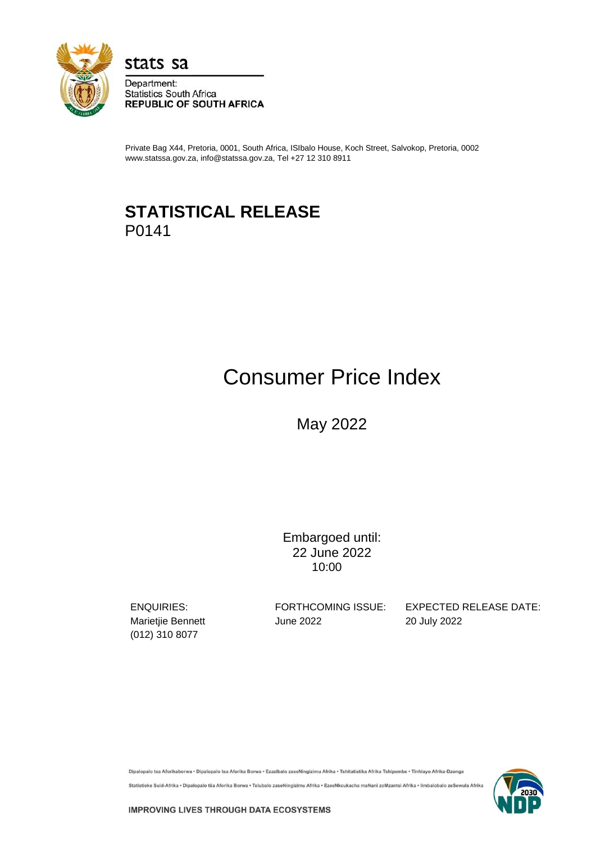

stats sa

Department: **Statistics South Africa REPUBLIC OF SOUTH AFRICA** 

Private Bag X44, Pretoria, 0001, South Africa, ISIbalo House, Koch Street, Salvokop, Pretoria, 0002 www.statssa.gov.za, info@statssa.gov.za, Tel +27 12 310 8911

## **STATISTICAL RELEASE** P0141

# Consumer Price Index

May 2022

Embargoed until: 22 June 2022 10:00

(012) 310 8077

Marietjie Bennett **June 2022** 20 July 2022

ENQUIRIES: FORTHCOMING ISSUE: EXPECTED RELEASE DATE:

Dipalopalo tsa Aforikaborwa • Dipalopalo tsa Aforika Borwa • Ezazibalo zaseNingizimu Afrika • Tshitatistika Afrika Tshipembe • Tinhlayo Afrika-Dzonga

Statistieke Suid-Afrika • Dipalopalo tša Aforika Borwa • Telubalo zaseNingizimu Afrika • EzeeNkcukacha maNani zoMzantsi Afrika • limbalobalo zeSewula Afrika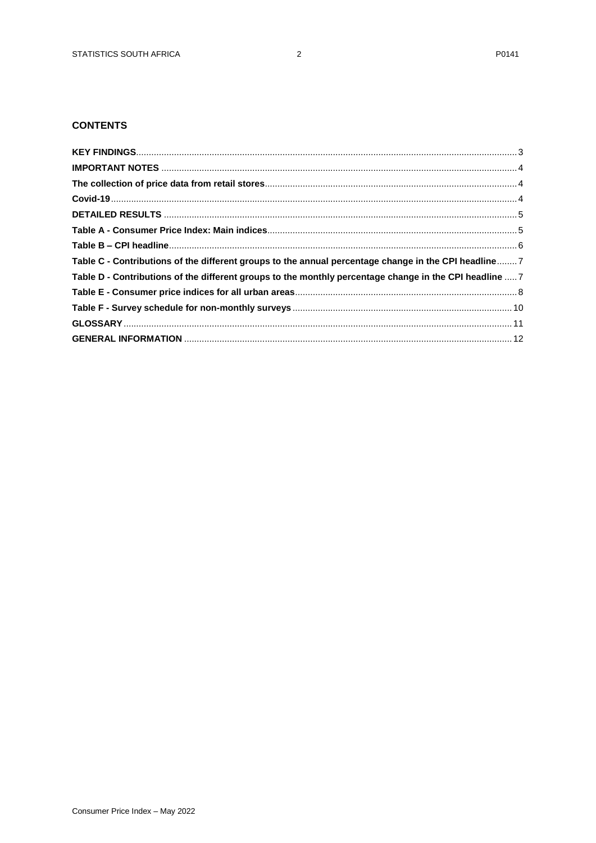## **CONTENTS**

| Table C - Contributions of the different groups to the annual percentage change in the CPI headline 7   |  |
|---------------------------------------------------------------------------------------------------------|--|
| Table D - Contributions of the different groups to the monthly percentage change in the CPI headline  7 |  |
|                                                                                                         |  |
|                                                                                                         |  |
|                                                                                                         |  |
|                                                                                                         |  |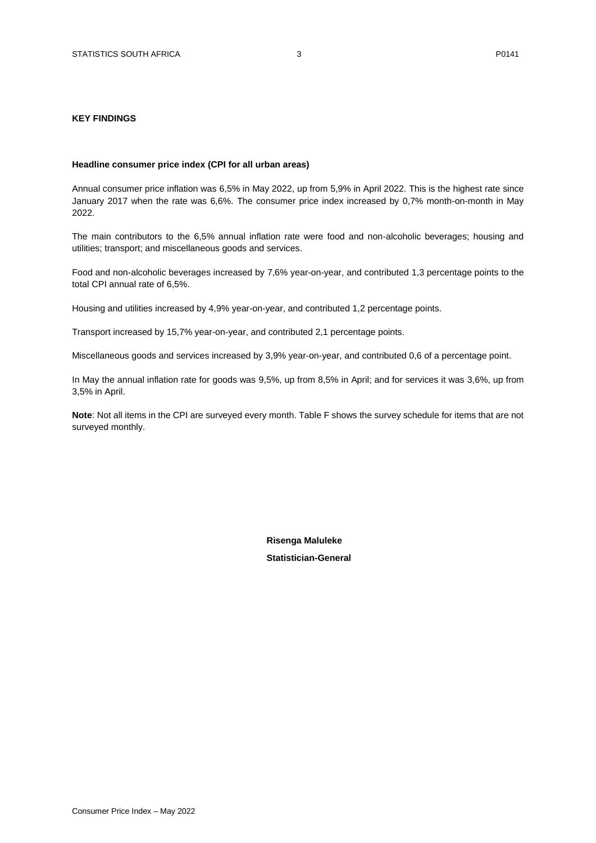## <span id="page-2-0"></span>**KEY FINDINGS**

#### **Headline consumer price index (CPI for all urban areas)**

Annual consumer price inflation was 6,5% in May 2022, up from 5,9% in April 2022. This is the highest rate since January 2017 when the rate was 6,6%. The consumer price index increased by 0,7% month-on-month in May 2022.

The main contributors to the 6,5% annual inflation rate were food and non-alcoholic beverages; housing and utilities; transport; and miscellaneous goods and services.

Food and non-alcoholic beverages increased by 7,6% year-on-year, and contributed 1,3 percentage points to the total CPI annual rate of 6,5%.

Housing and utilities increased by 4,9% year-on-year, and contributed 1,2 percentage points.

Transport increased by 15,7% year-on-year, and contributed 2,1 percentage points.

Miscellaneous goods and services increased by 3,9% year-on-year, and contributed 0,6 of a percentage point.

In May the annual inflation rate for goods was 9,5%, up from 8,5% in April; and for services it was 3,6%, up from 3,5% in April.

**Note**: Not all items in the CPI are surveyed every month. Table F shows the survey schedule for items that are not surveyed monthly.

 **Risenga Maluleke**

 **Statistician-General**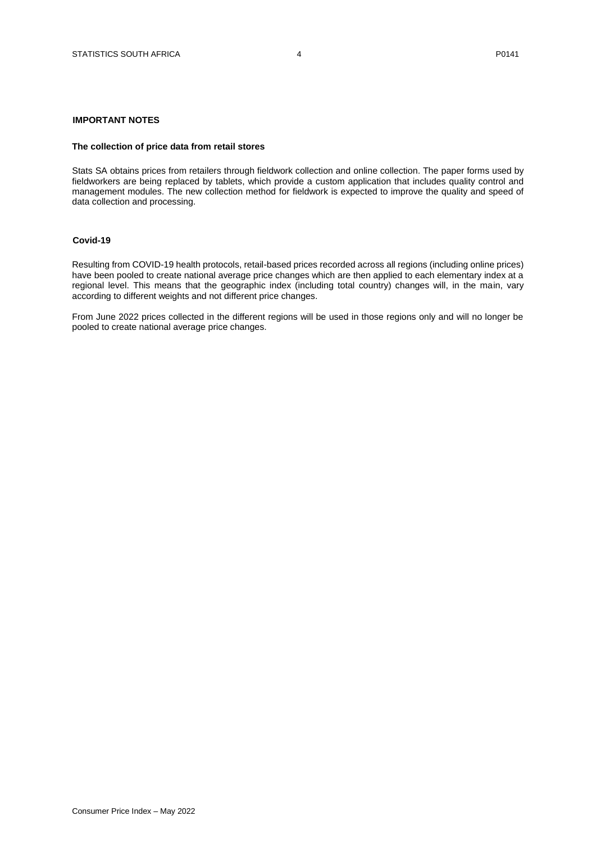#### <span id="page-3-0"></span>**IMPORTANT NOTES**

#### <span id="page-3-1"></span>**The collection of price data from retail stores**

Stats SA obtains prices from retailers through fieldwork collection and online collection. The paper forms used by fieldworkers are being replaced by tablets, which provide a custom application that includes quality control and management modules. The new collection method for fieldwork is expected to improve the quality and speed of data collection and processing.

#### <span id="page-3-2"></span>**Covid-19**

Resulting from COVID-19 health protocols, retail-based prices recorded across all regions (including online prices) have been pooled to create national average price changes which are then applied to each elementary index at a regional level. This means that the geographic index (including total country) changes will, in the main, vary according to different weights and not different price changes.

From June 2022 prices collected in the different regions will be used in those regions only and will no longer be pooled to create national average price changes.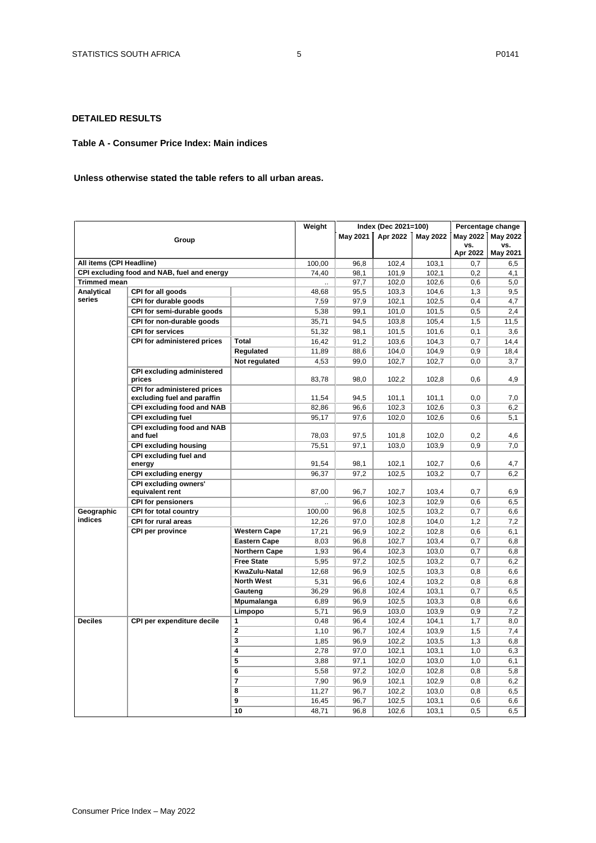## <span id="page-4-0"></span>**DETAILED RESULTS**

#### <span id="page-4-1"></span>**Table A - Consumer Price Index: Main indices**

#### **Unless otherwise stated the table refers to all urban areas.**

|                          |                                                                   | Weight              |              | Index (Dec 2021=100) | Percentage change |                |                 |                 |
|--------------------------|-------------------------------------------------------------------|---------------------|--------------|----------------------|-------------------|----------------|-----------------|-----------------|
|                          | Group                                                             |                     |              | <b>May 2021</b>      | Apr 2022          | May 2022       | May 2022        | <b>May 2022</b> |
|                          |                                                                   |                     |              |                      |                   |                | vs.<br>Apr 2022 | vs.<br>May 2021 |
| All items (CPI Headline) |                                                                   |                     | 100.00       | 96,8                 | 102,4             | 103,1          | 0.7             | 6,5             |
|                          | CPI excluding food and NAB, fuel and energy                       |                     | 74,40        | 98,1                 | 101,9             | 102,1          | 0,2             | 4,1             |
| <b>Trimmed mean</b>      |                                                                   |                     |              | 97,7                 | 102,0             | 102,6          | 0,6             | 5,0             |
| Analytical               | CPI for all goods                                                 |                     | 48,68        | 95,5                 | 103,3             | 104,6          | 1,3             | 9,5             |
| series                   | CPI for durable goods                                             |                     | 7,59         | 97,9                 | 102,1             | 102,5          | 0,4             | 4,7             |
|                          | CPI for semi-durable goods                                        |                     | 5,38         | 99,1                 | 101,0             | 101,5          | 0,5             | 2,4             |
|                          | CPI for non-durable goods                                         |                     | 35,71        | 94,5                 | 103,8             | 105,4          | 1,5             | 11,5            |
|                          | <b>CPI for services</b>                                           |                     | 51,32        | 98,1                 | 101,5             | 101,6          | 0,1             | 3,6             |
|                          | <b>CPI for administered prices</b>                                | Total               | 16,42        | 91,2                 | 103,6             | 104,3          | 0,7             | 14,4            |
|                          |                                                                   | Regulated           | 11,89        | 88,6                 | 104,0             | 104,9          | 0,9             | 18,4            |
|                          |                                                                   | Not regulated       | 4,53         | 99,0                 | 102,7             | 102,7          | 0,0             | 3,7             |
|                          | <b>CPI excluding administered</b><br>prices                       |                     | 83,78        | 98,0                 | 102,2             | 102,8          | 0,6             | 4,9             |
|                          | <b>CPI for administered prices</b><br>excluding fuel and paraffin |                     | 11.54        | 94,5                 | 101,1             | 101.1          | 0.0             | 7,0             |
|                          | <b>CPI excluding food and NAB</b>                                 |                     | 82,86        | 96,6                 | 102,3             | 102,6          | 0,3             | 6,2             |
|                          | <b>CPI excluding fuel</b>                                         |                     | 95,17        | 97,6                 | 102,0             | 102,6          | 0,6             | 5,1             |
|                          | <b>CPI excluding food and NAB</b><br>and fuel                     |                     | 78,03        | 97,5                 | 101,8             | 102,0          | 0,2             | 4,6             |
|                          | <b>CPI excluding housing</b>                                      |                     | 75,51        | 97,1                 | 103,0             | 103,9          | 0.9             | 7,0             |
|                          | CPI excluding fuel and<br>energy                                  |                     | 91,54        | 98,1                 | 102,1             | 102,7          | 0,6             | 4,7             |
|                          | <b>CPI excluding energy</b>                                       |                     | 96,37        | 97,2                 | 102,5             | 103,2          | 0,7             | 6,2             |
|                          | <b>CPI excluding owners'</b>                                      |                     |              |                      |                   |                |                 |                 |
|                          | equivalent rent                                                   |                     | 87,00        | 96,7                 | 102,7             | 103,4          | 0,7             | 6,9             |
|                          | <b>CPI for pensioners</b>                                         |                     |              | 96,6                 | 102,3             | 102,9          | 0,6             | 6,5             |
| Geographic<br>indices    | CPI for total country                                             |                     | 100,00       | 96,8                 | 102,5             | 103,2          | 0,7             | 6,6             |
|                          | <b>CPI for rural areas</b>                                        |                     | 12,26        | 97,0                 | 102,8             | 104,0          | 1,2             | 7,2             |
|                          | <b>CPI per province</b>                                           | <b>Western Cape</b> | 17,21        | 96,9                 | 102,2             | 102.8          | 0.6             | 6,1             |
|                          |                                                                   | <b>Eastern Cape</b> | 8,03         | 96,8                 | 102,7             | 103,4          | 0,7             | 6,8             |
|                          |                                                                   | Northern Cape       | 1,93         | 96,4                 | 102,3             | 103,0          | 0,7             | 6,8             |
|                          |                                                                   | <b>Free State</b>   | 5,95         | 97,2                 | 102,5             | 103.2          | 0.7             | 6,2             |
|                          |                                                                   | KwaZulu-Natal       | 12,68        | 96,9                 | 102,5             | 103,3          | 0,8             | 6,6             |
|                          |                                                                   | <b>North West</b>   | 5,31         | 96,6                 | 102,4             | 103,2          | 0,8<br>0.7      | 6,8             |
|                          |                                                                   | Gauteng             | 36.29        | 96,8<br>96,9         | 102.4<br>102,5    | 103.1<br>103,3 | 0,8             | 6,5             |
|                          |                                                                   | Mpumalanga          | 6,89<br>5,71 |                      | 103,0             |                |                 | 6,6             |
| <b>Deciles</b>           | CPI per expenditure decile                                        | Limpopo<br>1        | 0,48         | 96,9<br>96,4         | 102,4             | 103,9<br>104.1 | 0,9<br>1.7      | 7,2<br>8,0      |
|                          |                                                                   | 2                   | 1,10         | 96,7                 | 102,4             | 103,9          | 1,5             | 7,4             |
|                          |                                                                   | 3                   | 1,85         | 96,9                 | 102,2             | 103,5          | 1,3             | 6,8             |
|                          |                                                                   | 4                   | 2,78         | 97,0                 | 102,1             | 103,1          | 1,0             | 6,3             |
|                          |                                                                   | 5                   | 3,88         | 97,1                 | 102,0             | 103,0          | 1,0             | 6,1             |
|                          |                                                                   | 6                   | 5,58         | 97,2                 | 102,0             | 102,8          | 0,8             | 5,8             |
|                          |                                                                   | 7                   | 7,90         | 96,9                 | 102,1             | 102,9          | 0,8             | 6,2             |
|                          |                                                                   | 8                   | 11,27        | 96,7                 | 102,2             | 103,0          | 0,8             | 6,5             |
|                          |                                                                   | 9                   | 16,45        | 96,7                 | 102,5             | 103,1          | 0,6             | 6,6             |
|                          |                                                                   | 10                  | 48,71        | 96,8                 | 102,6             | 103,1          | 0,5             | 6,5             |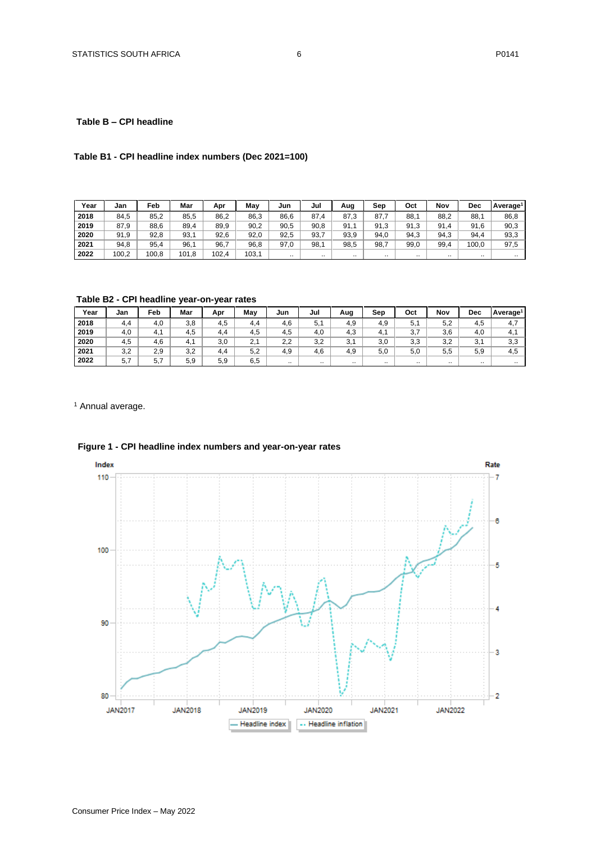## <span id="page-5-0"></span>**Table B – CPI headline**

## **Table B1 - CPI headline index numbers (Dec 2021=100)**

| Year | Jan   | Feb   | Mar   | Apr   | May   | Jun  | Jul  | Aug       | Sep  | Oct  | Nov             | Dec      | Average <sup>1</sup> |
|------|-------|-------|-------|-------|-------|------|------|-----------|------|------|-----------------|----------|----------------------|
| 2018 | 84,5  | 85,2  | 85,5  | 86,2  | 86,3  | 86,6 | 87,4 | 87,3      | 87,7 | 88.7 | 88,2            | 88.      | 86,8                 |
| 2019 | 87,9  | 88,6  | 89,4  | 89,9  | 90,2  | 90,5 | 90,8 | 91,1      | 91,3 | 91.3 | 91<br>$\cdot$ 4 | 91,6     | 90,3                 |
| 2020 | 91,9  | 92,8  | 93,1  | 92,6  | 92,0  | 92,5 | 93,7 | 93,9      | 94,0 | 94.3 | 94,3            | 94,4     | 93,3                 |
| 2021 | 94,8  | 95,4  | 96,1  | 96,7  | 96,8  | 97,0 | 98,1 | 98,5      | 98,7 | 99,0 | 99,4            | 100,0    | 97,5                 |
| 2022 | 100,2 | 100.8 | 101.8 | 102.4 | 103.1 |      |      | $\cdot$ . |      |      | $\cdots$        | $\cdots$ |                      |

**Table B2 - CPI headline year-on-year rates**

| Year | Jan | Feb | Mar | Apr | May | Jun       | Jul       | Aug      | Sep | Oct           | Nov       | Dec       | Average <sup>1</sup> |
|------|-----|-----|-----|-----|-----|-----------|-----------|----------|-----|---------------|-----------|-----------|----------------------|
| 2018 | 4.4 | 4,0 | 3,8 | 4.5 | 4.4 | 4,6       | 5,1       | 4.9      | 4.9 | $5,^{\prime}$ | 5,2       | 4.5       | 4,7                  |
| 2019 | 4,0 | 4,1 | 4,5 | 4.4 | 4,5 | 4,5       | 4,0       | 4,3      | 4.1 | 3,7           | 3,6       | 4,0       | 4,1                  |
| 2020 | 4,5 | 4,6 | 4.  | 3,0 | 2.1 | 2,2       | 3,2       | 3,1      | 3,0 | 3,3           | 3,2       | 3,1       | 3,3                  |
| 2021 | 3,2 | 2.9 | 3,2 | 4.4 | 5,2 | 4,9       | 4,6       | 4,9      | 5,0 | 5,0           | 5,5       | 5,9       | 4,5                  |
| 2022 | 5,7 | 5.7 | 5,9 | 5,9 | 6,5 | $\cdot$ . | $\cdot$ . | $\cdots$ |     | $\cdots$      | $\cdot$ . | $\cdot$ . | $\cdot$ .            |

<sup>1</sup> Annual average.



## **Figure 1 - CPI headline index numbers and year-on-year rates**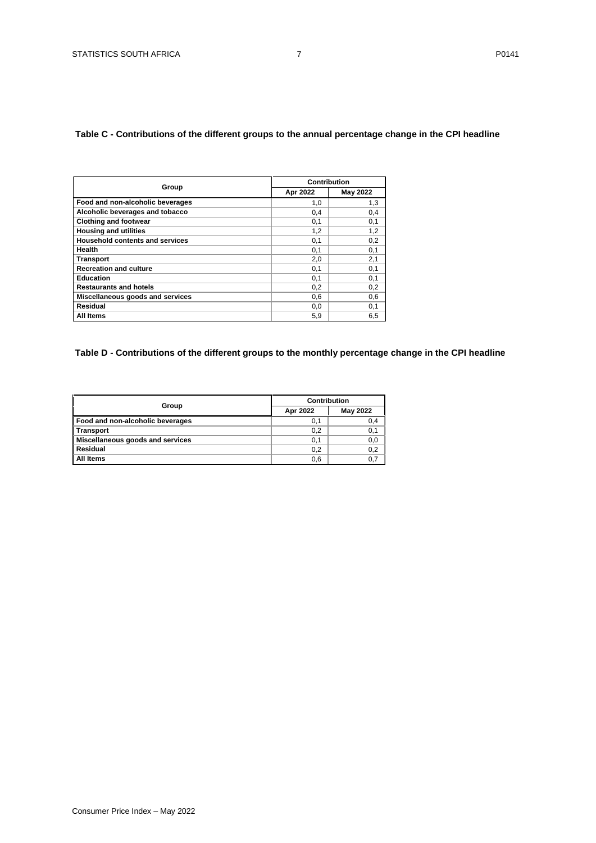## <span id="page-6-0"></span>**Table C - Contributions of the different groups to the annual percentage change in the CPI headline**

|                                        | Contribution |                 |  |  |  |
|----------------------------------------|--------------|-----------------|--|--|--|
| Group                                  | Apr 2022     | <b>May 2022</b> |  |  |  |
| Food and non-alcoholic beverages       | 1,0          | 1,3             |  |  |  |
| Alcoholic beverages and tobacco        | 0,4          | 0,4             |  |  |  |
| <b>Clothing and footwear</b>           | 0,1          | 0,1             |  |  |  |
| <b>Housing and utilities</b>           | 1,2          | 1,2             |  |  |  |
| <b>Household contents and services</b> | 0,1          | 0,2             |  |  |  |
| Health                                 | 0,1          | 0,1             |  |  |  |
| <b>Transport</b>                       | 2,0          | 2,1             |  |  |  |
| <b>Recreation and culture</b>          | 0,1          | 0,1             |  |  |  |
| Education                              | 0,1          | 0,1             |  |  |  |
| <b>Restaurants and hotels</b>          | 0,2          | 0,2             |  |  |  |
| Miscellaneous goods and services       | 0,6          | 0,6             |  |  |  |
| Residual                               | 0,0          | 0,1             |  |  |  |
| All Items                              | 5,9          | 6,5             |  |  |  |

## <span id="page-6-1"></span>**Table D - Contributions of the different groups to the monthly percentage change in the CPI headline**

| Group                            | <b>Contribution</b> |          |  |  |  |
|----------------------------------|---------------------|----------|--|--|--|
|                                  | Apr 2022            | May 2022 |  |  |  |
| Food and non-alcoholic beverages | 0,1                 | 0,4      |  |  |  |
| <b>Transport</b>                 | 0,2                 | 0,1      |  |  |  |
| Miscellaneous goods and services | 0,1                 | 0,0      |  |  |  |
| Residual                         | 0,2                 | 0,2      |  |  |  |
| All Items                        | 0,6                 | 0,7      |  |  |  |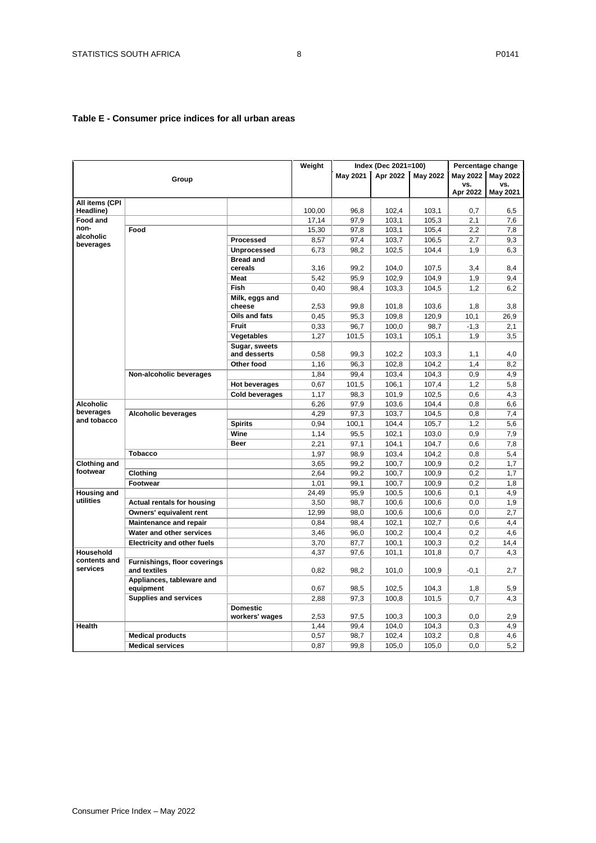## <span id="page-7-0"></span>**Table E - Consumer price indices for all urban areas**

|                             |                                              |                                   | Weight |          | Index (Dec 2021=100) |          |                 | Percentage change |
|-----------------------------|----------------------------------------------|-----------------------------------|--------|----------|----------------------|----------|-----------------|-------------------|
|                             | Group                                        |                                   |        | May 2021 | Apr 2022             | May 2022 | <b>May 2022</b> | <b>May 2022</b>   |
|                             |                                              |                                   |        |          |                      |          | vs.             | VS.               |
|                             |                                              |                                   |        |          |                      |          | Apr 2022        | May 2021          |
| All items (CPI<br>Headline) |                                              |                                   | 100,00 | 96,8     | 102,4                | 103,1    | 0,7             | 6,5               |
| <b>Food and</b>             |                                              |                                   | 17,14  | 97,9     | 103,1                | 105,3    | 2,1             | 7,6               |
| non-                        | Food                                         |                                   | 15,30  | 97,8     | 103,1                | 105.4    | 2,2             | 7,8               |
| alcoholic                   |                                              | <b>Processed</b>                  | 8,57   | 97,4     | 103,7                | 106,5    | 2,7             | 9,3               |
| beverages                   |                                              | <b>Unprocessed</b>                | 6,73   | 98,2     | 102,5                | 104,4    | 1,9             | 6,3               |
|                             |                                              | <b>Bread and</b>                  |        |          |                      |          |                 |                   |
|                             |                                              | cereals                           | 3,16   | 99,2     | 104,0                | 107,5    | 3,4             | 8,4               |
|                             |                                              | <b>Meat</b>                       | 5,42   | 95,9     | 102,9                | 104,9    | 1,9             | 9,4               |
|                             |                                              | <b>Fish</b>                       | 0,40   | 98,4     | 103,3                | 104,5    | 1,2             | 6,2               |
|                             |                                              | Milk, eggs and                    |        |          |                      |          |                 |                   |
|                             |                                              | cheese                            | 2,53   | 99,8     | 101,8                | 103,6    | 1,8             | 3,8               |
|                             |                                              | Oils and fats                     | 0,45   | 95,3     | 109,8                | 120.9    | 10,1            | 26.9              |
|                             |                                              | <b>Fruit</b>                      | 0,33   | 96,7     | 100,0                | 98,7     | $-1,3$          | 2,1               |
|                             |                                              | Vegetables                        | 1,27   | 101,5    | 103,1                | 105.1    | 1,9             | 3.5               |
|                             |                                              | Sugar, sweets<br>and desserts     | 0,58   | 99.3     | 102,2                | 103,3    | 1,1             | 4,0               |
|                             |                                              | Other food                        | 1,16   | 96,3     | 102,8                | 104,2    | 1,4             | 8,2               |
|                             | Non-alcoholic beverages                      |                                   | 1,84   | 99.4     | 103,4                | 104,3    | 0.9             | 4,9               |
|                             |                                              | <b>Hot beverages</b>              | 0,67   | 101,5    | 106,1                | 107,4    | 1,2             | 5,8               |
|                             |                                              | <b>Cold beverages</b>             | 1,17   | 98,3     | 101,9                | 102,5    | 0,6             | 4,3               |
| <b>Alcoholic</b>            |                                              |                                   | 6,26   | 97,9     | 103,6                | 104,4    | 0,8             | 6,6               |
| beverages                   | <b>Alcoholic beverages</b>                   |                                   | 4,29   | 97,3     | 103,7                | 104,5    | 0,8             | 7,4               |
| and tobacco                 |                                              | <b>Spirits</b>                    | 0,94   | 100,1    | 104,4                | 105,7    | 1,2             | 5,6               |
|                             |                                              | Wine                              | 1,14   | 95,5     | 102,1                | 103,0    | 0,9             | 7,9               |
|                             |                                              | <b>Beer</b>                       | 2,21   | 97,1     | 104,1                | 104,7    | 0,6             | 7,8               |
|                             | <b>Tobacco</b>                               |                                   | 1,97   | 98,9     | 103,4                | 104,2    | 0,8             | 5,4               |
| <b>Clothing and</b>         |                                              |                                   | 3,65   | 99,2     | 100,7                | 100,9    | 0,2             | 1,7               |
| footwear                    | Clothing                                     |                                   | 2,64   | 99,2     | 100,7                | 100,9    | 0,2             | 1,7               |
|                             | Footwear                                     |                                   | 1,01   | 99,1     | 100,7                | 100,9    | 0,2             | 1,8               |
| <b>Housing and</b>          |                                              |                                   | 24.49  | 95,9     | 100.5                | 100.6    | 0,1             | 4,9               |
| utilities                   | <b>Actual rentals for housing</b>            |                                   | 3,50   | 98,7     | 100,6                | 100,6    | 0,0             | 1,9               |
|                             | Owners' equivalent rent                      |                                   | 12,99  | 98,0     | 100,6                | 100,6    | 0,0             | 2,7               |
|                             | <b>Maintenance and repair</b>                |                                   | 0,84   | 98.4     | 102,1                | 102,7    | 0,6             | 4.4               |
|                             | Water and other services                     |                                   | 3,46   | 96,0     | 100,2                | 100,4    | 0,2             | 4,6               |
|                             | <b>Electricity and other fuels</b>           |                                   | 3,70   | 87,7     | 100,1                | 100,3    | 0,2             | 14,4              |
| Household                   |                                              |                                   | 4,37   | 97,6     | 101,1                | 101,8    | 0,7             | 4,3               |
| contents and<br>services    | Furnishings, floor coverings<br>and textiles |                                   | 0,82   | 98,2     | 101,0                | 100,9    | $-0,1$          | 2,7               |
|                             | Appliances, tableware and<br>equipment       |                                   | 0,67   | 98,5     | 102,5                | 104,3    | 1,8             | 5,9               |
|                             | <b>Supplies and services</b>                 |                                   | 2,88   | 97,3     | 100,8                | 101,5    | 0,7             | 4,3               |
|                             |                                              | <b>Domestic</b><br>workers' wages | 2,53   | 97,5     | 100,3                | 100,3    | 0,0             | 2,9               |
| Health                      |                                              |                                   | 1,44   | 99.4     | 104,0                | 104,3    | 0,3             | 4.9               |
|                             | <b>Medical products</b>                      |                                   | 0,57   | 98,7     | 102,4                | 103,2    | 0,8             | 4,6               |
|                             | <b>Medical services</b>                      |                                   | 0,87   | 99,8     | 105,0                | 105,0    | 0,0             | 5,2               |
|                             |                                              |                                   |        |          |                      |          |                 |                   |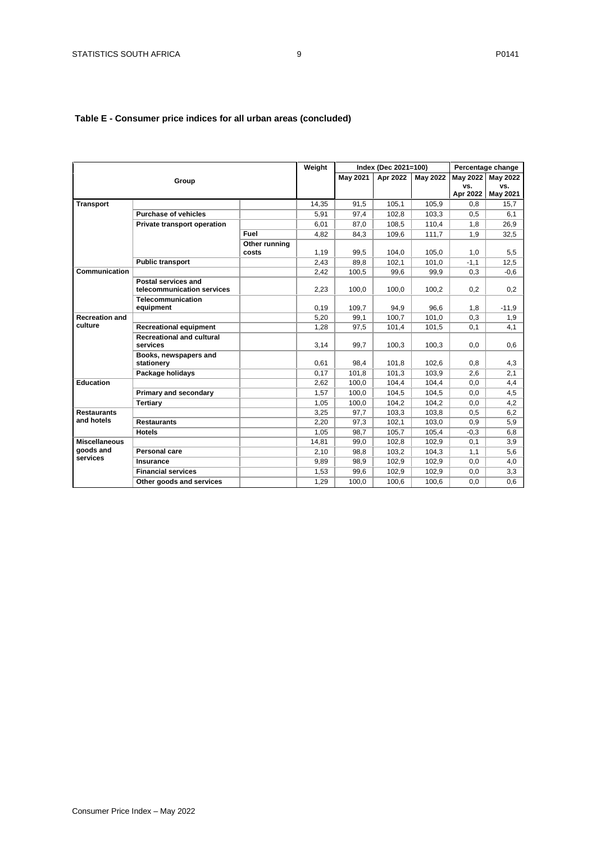## **Table E - Consumer price indices for all urban areas (concluded)**

|                                   |                                                   |               | Weight |                 | Index (Dec 2021=100) |                 |                 | Percentage change |
|-----------------------------------|---------------------------------------------------|---------------|--------|-----------------|----------------------|-----------------|-----------------|-------------------|
|                                   | Group                                             |               |        | <b>May 2021</b> | Apr 2022             | <b>May 2022</b> | <b>May 2022</b> | <b>May 2022</b>   |
|                                   |                                                   |               |        |                 |                      |                 | VS.             | VS.               |
|                                   |                                                   |               |        |                 |                      |                 | Apr 2022        | May 2021          |
| <b>Transport</b>                  |                                                   |               | 14,35  | 91,5            | 105,1                | 105,9           | 0,8             | 15,7              |
|                                   | <b>Purchase of vehicles</b>                       |               | 5,91   | 97,4            | 102.8                | 103.3           | 0,5             | 6,1               |
|                                   | Private transport operation                       |               | 6,01   | 87,0            | 108,5                | 110,4           | 1,8             | 26,9              |
|                                   |                                                   | Fuel          | 4,82   | 84,3            | 109,6                | 111,7           | 1,9             | 32,5              |
|                                   |                                                   | Other running |        |                 |                      |                 |                 |                   |
|                                   |                                                   | costs         | 1,19   | 99.5            | 104.0                | 105.0           | 1,0             | 5,5               |
|                                   | <b>Public transport</b>                           |               | 2,43   | 89.8            | 102,1                | 101,0           | $-1,1$          | 12,5              |
| Communication                     |                                                   |               | 2,42   | 100,5           | 99.6                 | 99,9            | 0,3             | $-0,6$            |
|                                   | Postal services and<br>telecommunication services |               | 2,23   | 100,0           | 100,0                | 100,2           | 0,2             | 0,2               |
|                                   | <b>Telecommunication</b>                          |               |        |                 |                      |                 |                 |                   |
|                                   | equipment                                         |               | 0,19   | 109,7           | 94,9                 | 96,6            | 1,8             | $-11,9$           |
| <b>Recreation and</b>             |                                                   |               | 5,20   | 99,1            | 100,7                | 101,0           | 0,3             | 1,9               |
| culture                           | <b>Recreational equipment</b>                     |               | 1,28   | 97,5            | 101,4                | 101,5           | 0,1             | 4,1               |
|                                   | <b>Recreational and cultural</b>                  |               |        |                 |                      |                 |                 |                   |
|                                   | services                                          |               | 3,14   | 99,7            | 100,3                | 100,3           | 0,0             | 0,6               |
|                                   | Books, newspapers and                             |               |        |                 |                      |                 |                 |                   |
|                                   | stationery                                        |               | 0,61   | 98,4            | 101,8                | 102,6           | 0,8             | 4,3               |
|                                   | Package holidays                                  |               | 0,17   | 101,8           | 101,3                | 103,9           | 2,6             | 2,1               |
| Education                         |                                                   |               | 2,62   | 100,0           | 104,4                | 104,4           | 0,0             | 4,4               |
|                                   | Primary and secondary                             |               | 1,57   | 100.0           | 104.5                | 104.5           | 0.0             | 4,5               |
|                                   | Tertiary                                          |               | 1,05   | 100,0           | 104.2                | 104,2           | 0,0             | 4,2               |
| <b>Restaurants</b>                |                                                   |               | 3,25   | 97,7            | 103,3                | 103,8           | 0,5             | 6,2               |
| and hotels                        | <b>Restaurants</b>                                |               | 2,20   | 97,3            | 102,1                | 103,0           | 0,9             | 5,9               |
|                                   | <b>Hotels</b>                                     |               | 1,05   | 98.7            | 105.7                | 105.4           | $-0,3$          | 6,8               |
| <b>Miscellaneous</b><br>goods and |                                                   |               | 14,81  | 99,0            | 102,8                | 102,9           | 0,1             | 3,9               |
|                                   | Personal care                                     |               | 2,10   | 98,8            | 103,2                | 104,3           | 1,1             | 5,6               |
| services                          | <b>Insurance</b>                                  |               | 9,89   | 98,9            | 102,9                | 102,9           | 0,0             | 4,0               |
|                                   | <b>Financial services</b>                         |               | 1,53   | 99.6            | 102.9                | 102.9           | 0,0             | 3,3               |
|                                   | Other goods and services                          |               | 1,29   | 100.0           | 100.6                | 100.6           | 0.0             | 0.6               |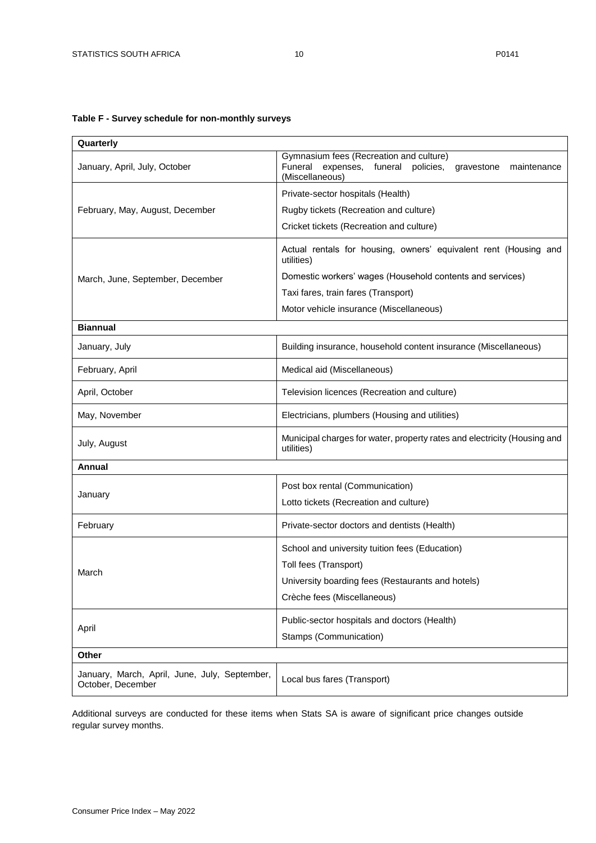## <span id="page-9-0"></span>**Table F - Survey schedule for non-monthly surveys**

| Quarterly                                                          |                                                                                                                                      |  |  |  |  |  |
|--------------------------------------------------------------------|--------------------------------------------------------------------------------------------------------------------------------------|--|--|--|--|--|
| January, April, July, October                                      | Gymnasium fees (Recreation and culture)<br>Funeral<br>expenses, funeral<br>policies,<br>gravestone<br>maintenance<br>(Miscellaneous) |  |  |  |  |  |
|                                                                    | Private-sector hospitals (Health)                                                                                                    |  |  |  |  |  |
| February, May, August, December                                    | Rugby tickets (Recreation and culture)                                                                                               |  |  |  |  |  |
|                                                                    | Cricket tickets (Recreation and culture)                                                                                             |  |  |  |  |  |
|                                                                    | Actual rentals for housing, owners' equivalent rent (Housing and<br>utilities)                                                       |  |  |  |  |  |
| March, June, September, December                                   | Domestic workers' wages (Household contents and services)                                                                            |  |  |  |  |  |
|                                                                    | Taxi fares, train fares (Transport)                                                                                                  |  |  |  |  |  |
|                                                                    | Motor vehicle insurance (Miscellaneous)                                                                                              |  |  |  |  |  |
| <b>Biannual</b>                                                    |                                                                                                                                      |  |  |  |  |  |
| January, July                                                      | Building insurance, household content insurance (Miscellaneous)                                                                      |  |  |  |  |  |
| February, April                                                    | Medical aid (Miscellaneous)                                                                                                          |  |  |  |  |  |
| April, October                                                     | Television licences (Recreation and culture)                                                                                         |  |  |  |  |  |
| May, November                                                      | Electricians, plumbers (Housing and utilities)                                                                                       |  |  |  |  |  |
| July, August                                                       | Municipal charges for water, property rates and electricity (Housing and<br>utilities)                                               |  |  |  |  |  |
| Annual                                                             |                                                                                                                                      |  |  |  |  |  |
|                                                                    | Post box rental (Communication)                                                                                                      |  |  |  |  |  |
| January                                                            | Lotto tickets (Recreation and culture)                                                                                               |  |  |  |  |  |
| February                                                           | Private-sector doctors and dentists (Health)                                                                                         |  |  |  |  |  |
|                                                                    | School and university tuition fees (Education)                                                                                       |  |  |  |  |  |
| March                                                              | Toll fees (Transport)                                                                                                                |  |  |  |  |  |
|                                                                    | University boarding fees (Restaurants and hotels)                                                                                    |  |  |  |  |  |
|                                                                    | Crèche fees (Miscellaneous)                                                                                                          |  |  |  |  |  |
|                                                                    | Public-sector hospitals and doctors (Health)                                                                                         |  |  |  |  |  |
| April                                                              | Stamps (Communication)                                                                                                               |  |  |  |  |  |
| Other                                                              |                                                                                                                                      |  |  |  |  |  |
| January, March, April, June, July, September,<br>October, December | Local bus fares (Transport)                                                                                                          |  |  |  |  |  |

Additional surveys are conducted for these items when Stats SA is aware of significant price changes outside regular survey months.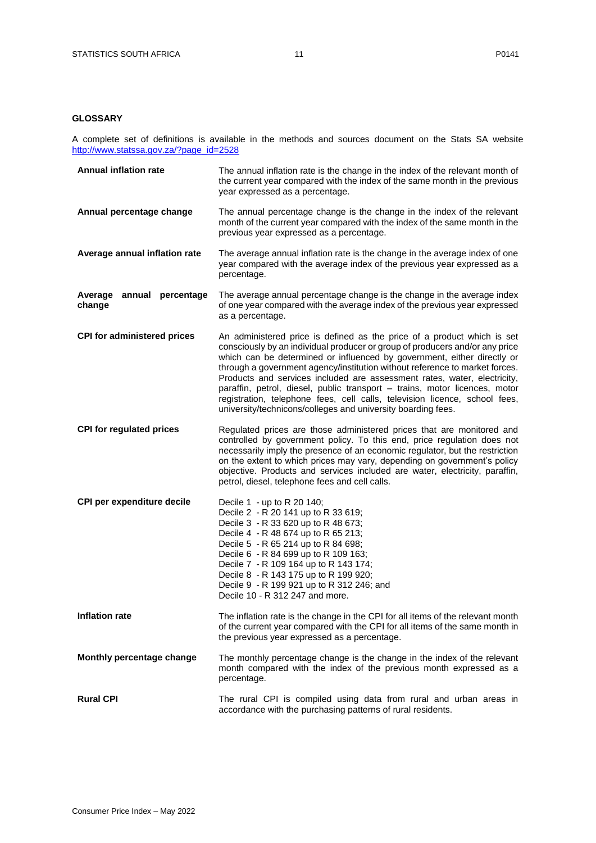## <span id="page-10-0"></span>**GLOSSARY**

A complete set of definitions is available in the methods and sources document on the Stats SA website [http://www.statssa.gov.za/?page\\_id=2528](http://www.statssa.gov.za/?page_id=2528)

| <b>Annual inflation rate</b>        | The annual inflation rate is the change in the index of the relevant month of<br>the current year compared with the index of the same month in the previous<br>year expressed as a percentage.                                                                                                                                                                                                                                                                                                                                                                                                                            |
|-------------------------------------|---------------------------------------------------------------------------------------------------------------------------------------------------------------------------------------------------------------------------------------------------------------------------------------------------------------------------------------------------------------------------------------------------------------------------------------------------------------------------------------------------------------------------------------------------------------------------------------------------------------------------|
| Annual percentage change            | The annual percentage change is the change in the index of the relevant<br>month of the current year compared with the index of the same month in the<br>previous year expressed as a percentage.                                                                                                                                                                                                                                                                                                                                                                                                                         |
| Average annual inflation rate       | The average annual inflation rate is the change in the average index of one<br>year compared with the average index of the previous year expressed as a<br>percentage.                                                                                                                                                                                                                                                                                                                                                                                                                                                    |
| Average annual percentage<br>change | The average annual percentage change is the change in the average index<br>of one year compared with the average index of the previous year expressed<br>as a percentage.                                                                                                                                                                                                                                                                                                                                                                                                                                                 |
| <b>CPI for administered prices</b>  | An administered price is defined as the price of a product which is set<br>consciously by an individual producer or group of producers and/or any price<br>which can be determined or influenced by government, either directly or<br>through a government agency/institution without reference to market forces.<br>Products and services included are assessment rates, water, electricity,<br>paraffin, petrol, diesel, public transport - trains, motor licences, motor<br>registration, telephone fees, cell calls, television licence, school fees,<br>university/technicons/colleges and university boarding fees. |
| <b>CPI for regulated prices</b>     | Regulated prices are those administered prices that are monitored and<br>controlled by government policy. To this end, price regulation does not<br>necessarily imply the presence of an economic regulator, but the restriction<br>on the extent to which prices may vary, depending on government's policy<br>objective. Products and services included are water, electricity, paraffin,<br>petrol, diesel, telephone fees and cell calls.                                                                                                                                                                             |
| CPI per expenditure decile          | Decile 1 - up to R 20 140;<br>Decile 2 - R 20 141 up to R 33 619;<br>Decile 3 - R 33 620 up to R 48 673;<br>Decile 4 - R 48 674 up to R 65 213;<br>Decile 5 - R 65 214 up to R 84 698;<br>Decile 6 - R 84 699 up to R 109 163;<br>Decile 7 - R 109 164 up to R 143 174;<br>Decile 8 - R 143 175 up to R 199 920;<br>Decile 9 - R 199 921 up to R 312 246; and<br>Decile 10 - R 312 247 and more.                                                                                                                                                                                                                          |
| <b>Inflation rate</b>               | The inflation rate is the change in the CPI for all items of the relevant month<br>of the current year compared with the CPI for all items of the same month in<br>the previous year expressed as a percentage.                                                                                                                                                                                                                                                                                                                                                                                                           |
| Monthly percentage change           | The monthly percentage change is the change in the index of the relevant<br>month compared with the index of the previous month expressed as a<br>percentage.                                                                                                                                                                                                                                                                                                                                                                                                                                                             |
| <b>Rural CPI</b>                    | The rural CPI is compiled using data from rural and urban areas in<br>accordance with the purchasing patterns of rural residents.                                                                                                                                                                                                                                                                                                                                                                                                                                                                                         |